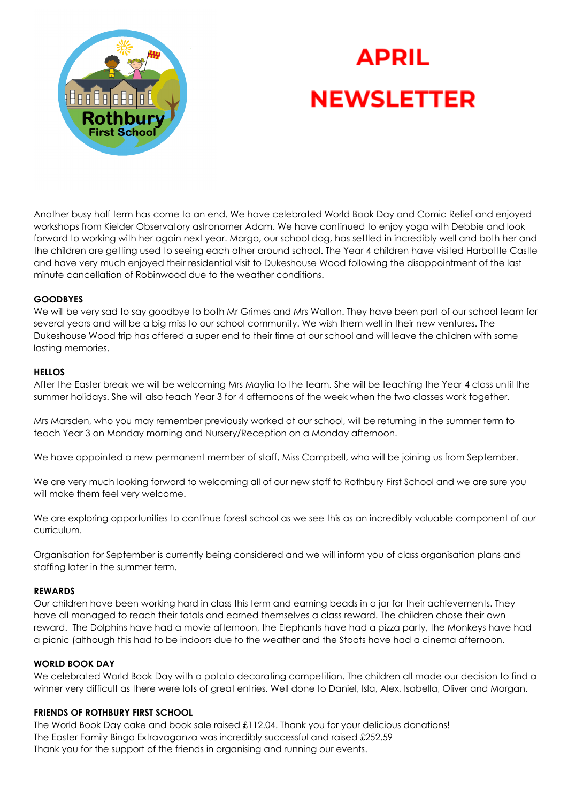

# **APRIL NEWSLETTER**

Another busy half term has come to an end. We have celebrated World Book Day and Comic Relief and enjoyed workshops from Kielder Observatory astronomer Adam. We have continued to enjoy yoga with Debbie and look forward to working with her again next year. Margo, our school dog, has settled in incredibly well and both her and the children are getting used to seeing each other around school. The Year 4 children have visited Harbottle Castle and have very much enjoyed their residential visit to Dukeshouse Wood following the disappointment of the last minute cancellation of Robinwood due to the weather conditions.

## **GOODBYES**

We will be very sad to say goodbye to both Mr Grimes and Mrs Walton. They have been part of our school team for several years and will be a big miss to our school community. We wish them well in their new ventures. The Dukeshouse Wood trip has offered a super end to their time at our school and will leave the children with some lasting memories.

#### **HELLOS**

After the Easter break we will be welcoming Mrs Maylia to the team. She will be teaching the Year 4 class until the summer holidays. She will also teach Year 3 for 4 afternoons of the week when the two classes work together.

Mrs Marsden, who you may remember previously worked at our school, will be returning in the summer term to teach Year 3 on Monday morning and Nursery/Reception on a Monday afternoon.

We have appointed a new permanent member of staff, Miss Campbell, who will be joining us from September.

We are very much looking forward to welcoming all of our new staff to Rothbury First School and we are sure you will make them feel very welcome.

We are exploring opportunities to continue forest school as we see this as an incredibly valuable component of our curriculum.

Organisation for September is currently being considered and we will inform you of class organisation plans and staffing later in the summer term.

#### **REWARDS**

Our children have been working hard in class this term and earning beads in a jar for their achievements. They have all managed to reach their totals and earned themselves a class reward. The children chose their own reward. The Dolphins have had a movie afternoon, the Elephants have had a pizza party, the Monkeys have had a picnic (although this had to be indoors due to the weather and the Stoats have had a cinema afternoon.

## **WORLD BOOK DAY**

We celebrated World Book Day with a potato decorating competition. The children all made our decision to find a winner very difficult as there were lots of great entries. Well done to Daniel, Isla, Alex, Isabella, Oliver and Morgan.

## **FRIENDS OF ROTHBURY FIRST SCHOOL**

The World Book Day cake and book sale raised £112.04. Thank you for your delicious donations! The Easter Family Bingo Extravaganza was incredibly successful and raised £252.59 Thank you for the support of the friends in organising and running our events.